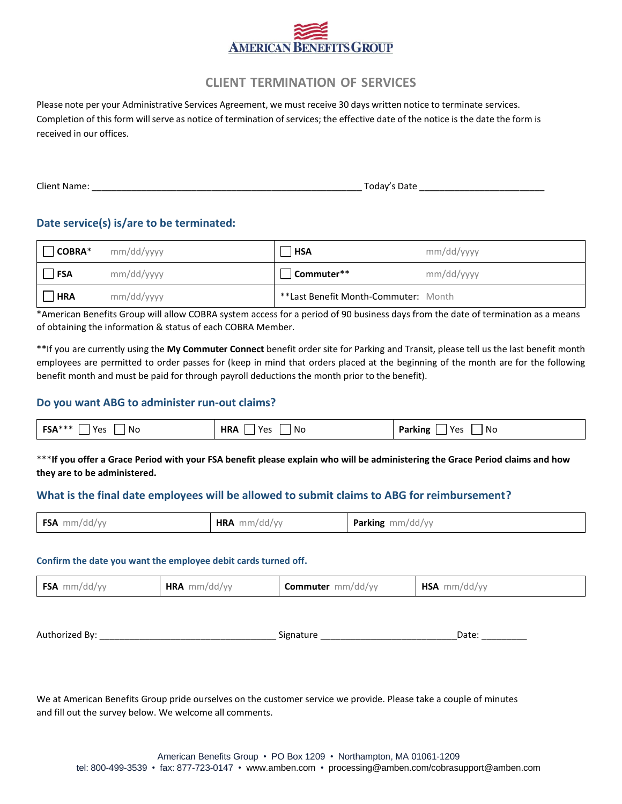

## **CLIENT TERMINATION OF SERVICES**

Please note per your Administrative Services Agreement, we must receive 30 days written notice to terminate services. Completion of this form will serve as notice of termination of services; the effective date of the notice is the date the form is received in our offices.

| <b>Client Name:</b> | Date<br>⊺odav′. |
|---------------------|-----------------|
|---------------------|-----------------|

#### **Date service(s) is/are to be terminated:**

| $ COBRA*$  | mm/dd/yyyy | <b>HSA</b>                           | mm/dd/yyyy |
|------------|------------|--------------------------------------|------------|
| <b>FSA</b> | mm/dd/yyyy | Commuter**                           | mm/dd/yyyy |
| <b>HRA</b> | mm/dd/yyyy | **Last Benefit Month-Commuter: Month |            |

\*American Benefits Group will allow COBRA system access for a period of 90 business days from the date of termination as a means of obtaining the information & status of each COBRA Member.

\*\*If you are currently using the **My Commuter Connect** benefit order site for Parking and Transit, please tell us the last benefit month employees are permitted to order passes for (keep in mind that orders placed at the beginning of the month are for the following benefit month and must be paid for through payroll deductions the month prior to the benefit).

#### **Do you want ABG to administer run-out claims?**

| <b>FSA*</b><br>$\mathsf{v}_{\mathsf{a}}$<br>N.<br>15. | HR/<br>$V_{\alpha}$<br>NC.<br>$\sim$ | No<br>$\cdots$ |
|-------------------------------------------------------|--------------------------------------|----------------|
|                                                       |                                      |                |

\*\*\***If you offer a Grace Period with your FSA benefit please explain who will be administering the Grace Period claims and how they are to be administered.**

### **What is the final date employees will be allowed to submit claims to ABG for reimbursement?**

| <b>FSA</b><br><b>HRA</b><br><b>Parking</b> mm/dd/yy<br>mm/dd/vv<br>mm/dd/vv |
|-----------------------------------------------------------------------------|
|-----------------------------------------------------------------------------|

#### **Confirm the date you want the employee debit cards turned off.**

|  | <b>FSA</b> | <b>HRA</b><br>mm/dd/vv | Commuter<br>mm/dd/vv | HSA<br>mm/dd/w |
|--|------------|------------------------|----------------------|----------------|
|--|------------|------------------------|----------------------|----------------|

Authorized By: \_\_\_\_\_\_\_\_\_\_\_\_\_\_\_\_\_\_\_\_\_\_\_\_\_\_\_\_\_\_\_\_\_\_\_ Signature \_\_\_\_\_\_\_\_\_\_\_\_\_\_\_\_\_\_\_\_\_\_\_\_\_\_\_Date: \_\_\_\_\_\_\_\_\_

We at American Benefits Group pride ourselves on the customer service we provide. Please take a couple of minutes and fill out the survey below. We welcome all comments.